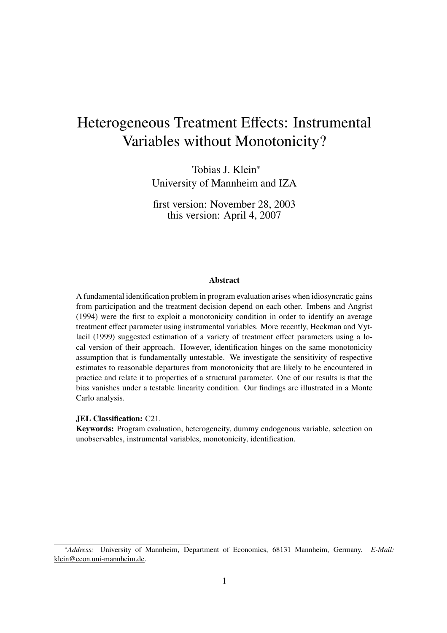# Heterogeneous Treatment Effects: Instrumental Variables without Monotonicity?

Tobias J. Klein<sup>∗</sup> University of Mannheim and IZA

first version: November 28, 2003 this version: April 4, 2007

#### **Abstract**

A fundamental identification problem in program evaluation arises when idiosyncratic gains from participation and the treatment decision depend on each other. Imbens and Angrist (1994) were the first to exploit a monotonicity condition in order to identify an average treatment effect parameter using instrumental variables. More recently, Heckman and Vytlacil (1999) suggested estimation of a variety of treatment effect parameters using a local version of their approach. However, identification hinges on the same monotonicity assumption that is fundamentally untestable. We investigate the sensitivity of respective estimates to reasonable departures from monotonicity that are likely to be encountered in practice and relate it to properties of a structural parameter. One of our results is that the bias vanishes under a testable linearity condition. Our findings are illustrated in a Monte Carlo analysis.

#### **JEL Classification:** C21.

**Keywords:** Program evaluation, heterogeneity, dummy endogenous variable, selection on unobservables, instrumental variables, monotonicity, identification.

<sup>∗</sup>*Address:* University of Mannheim, Department of Economics, 68131 Mannheim, Germany. *E-Mail:* klein@econ.uni-mannheim.de.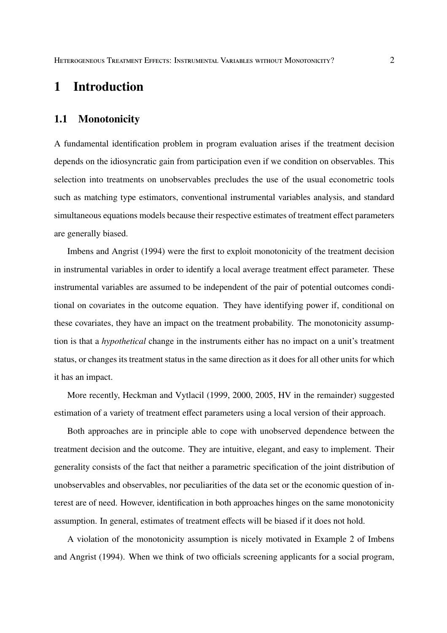# **1 Introduction**

#### **1.1 Monotonicity**

A fundamental identification problem in program evaluation arises if the treatment decision depends on the idiosyncratic gain from participation even if we condition on observables. This selection into treatments on unobservables precludes the use of the usual econometric tools such as matching type estimators, conventional instrumental variables analysis, and standard simultaneous equations models because their respective estimates of treatment effect parameters are generally biased.

Imbens and Angrist (1994) were the first to exploit monotonicity of the treatment decision in instrumental variables in order to identify a local average treatment effect parameter. These instrumental variables are assumed to be independent of the pair of potential outcomes conditional on covariates in the outcome equation. They have identifying power if, conditional on these covariates, they have an impact on the treatment probability. The monotonicity assumption is that a *hypothetical* change in the instruments either has no impact on a unit's treatment status, or changes its treatment status in the same direction as it does for all other units for which it has an impact.

More recently, Heckman and Vytlacil (1999, 2000, 2005, HV in the remainder) suggested estimation of a variety of treatment effect parameters using a local version of their approach.

Both approaches are in principle able to cope with unobserved dependence between the treatment decision and the outcome. They are intuitive, elegant, and easy to implement. Their generality consists of the fact that neither a parametric specification of the joint distribution of unobservables and observables, nor peculiarities of the data set or the economic question of interest are of need. However, identification in both approaches hinges on the same monotonicity assumption. In general, estimates of treatment effects will be biased if it does not hold.

A violation of the monotonicity assumption is nicely motivated in Example 2 of Imbens and Angrist (1994). When we think of two officials screening applicants for a social program,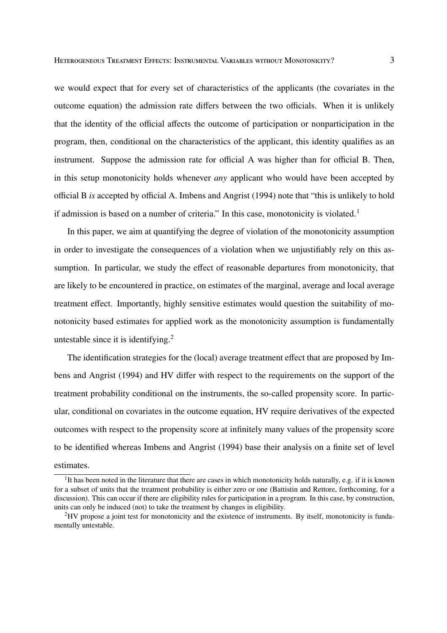we would expect that for every set of characteristics of the applicants (the covariates in the outcome equation) the admission rate differs between the two officials. When it is unlikely that the identity of the official affects the outcome of participation or nonparticipation in the program, then, conditional on the characteristics of the applicant, this identity qualifies as an instrument. Suppose the admission rate for official A was higher than for official B. Then, in this setup monotonicity holds whenever *any* applicant who would have been accepted by official B *is* accepted by official A. Imbens and Angrist (1994) note that "this is unlikely to hold if admission is based on a number of criteria." In this case, monotonicity is violated.<sup>1</sup>

In this paper, we aim at quantifying the degree of violation of the monotonicity assumption in order to investigate the consequences of a violation when we unjustifiably rely on this assumption. In particular, we study the effect of reasonable departures from monotonicity, that are likely to be encountered in practice, on estimates of the marginal, average and local average treatment effect. Importantly, highly sensitive estimates would question the suitability of monotonicity based estimates for applied work as the monotonicity assumption is fundamentally untestable since it is identifying.<sup>2</sup>

The identification strategies for the (local) average treatment effect that are proposed by Imbens and Angrist (1994) and HV differ with respect to the requirements on the support of the treatment probability conditional on the instruments, the so-called propensity score. In particular, conditional on covariates in the outcome equation, HV require derivatives of the expected outcomes with respect to the propensity score at infinitely many values of the propensity score to be identified whereas Imbens and Angrist (1994) base their analysis on a finite set of level estimates.

<sup>&</sup>lt;sup>1</sup>It has been noted in the literature that there are cases in which monotonicity holds naturally, e.g. if it is known for a subset of units that the treatment probability is either zero or one (Battistin and Rettore, forthcoming, for a discussion). This can occur if there are eligibility rules for participation in a program. In this case, by construction, units can only be induced (not) to take the treatment by changes in eligibility.

<sup>2</sup>HV propose a joint test for monotonicity and the existence of instruments. By itself, monotonicity is fundamentally untestable.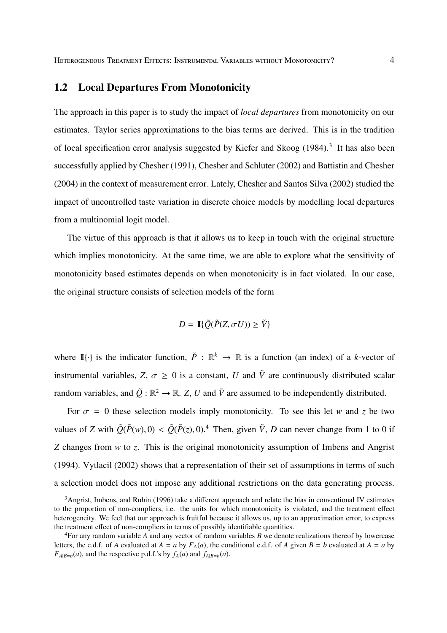### **1.2 Local Departures From Monotonicity**

The approach in this paper is to study the impact of *local departures* from monotonicity on our estimates. Taylor series approximations to the bias terms are derived. This is in the tradition of local specification error analysis suggested by Kiefer and Skoog (1984).<sup>3</sup> It has also been successfully applied by Chesher (1991), Chesher and Schluter (2002) and Battistin and Chesher (2004) in the context of measurement error. Lately, Chesher and Santos Silva (2002) studied the impact of uncontrolled taste variation in discrete choice models by modelling local departures from a multinomial logit model.

The virtue of this approach is that it allows us to keep in touch with the original structure which implies monotonicity. At the same time, we are able to explore what the sensitivity of monotonicity based estimates depends on when monotonicity is in fact violated. In our case, the original structure consists of selection models of the form

$$
D = \mathbb{I}\{\tilde{Q}(\tilde{P}(Z, \sigma U)) \geq \tilde{V}\}
$$

where  $\mathbb{I}\{\cdot\}$  is the indicator function,  $\tilde{P}: \mathbb{R}^k \to \mathbb{R}$  is a function (an index) of a *k*-vector of instrumental variables,  $Z$ ,  $\sigma \ge 0$  is a constant, *U* and  $\tilde{V}$  are continuously distributed scalar random variables, and  $\tilde{Q}: \mathbb{R}^2 \to \mathbb{R}$ . Z, U and  $\tilde{V}$  are assumed to be independently distributed.

For  $\sigma = 0$  these selection models imply monotonicity. To see this let *w* and *z* be two values of *Z* with  $\tilde{Q}(\tilde{P}(w), 0) < \tilde{Q}(\tilde{P}(z), 0)$ .<sup>4</sup> Then, given  $\tilde{V}$ , *D* can never change from 1 to 0 if *Z* changes from *w* to *z*. This is the original monotonicity assumption of Imbens and Angrist (1994). Vytlacil (2002) shows that a representation of their set of assumptions in terms of such a selection model does not impose any additional restrictions on the data generating process.

<sup>&</sup>lt;sup>3</sup>Angrist, Imbens, and Rubin (1996) take a different approach and relate the bias in conventional IV estimates to the proportion of non-compliers, i.e. the units for which monotonicity is violated, and the treatment effect heterogeneity. We feel that our approach is fruitful because it allows us, up to an approximation error, to express the treatment effect of non-compliers in terms of possibly identifiable quantities.

<sup>4</sup>For any random variable *A* and any vector of random variables *B* we denote realizations thereof by lowercase letters, the c.d.f. of *A* evaluated at  $A = a$  by  $F_A(a)$ , the conditional c.d.f. of *A* given  $B = b$  evaluated at  $A = a$  by  $F_{A|B=b}(a)$ , and the respective p.d.f.'s by  $f_A(a)$  and  $f_{A|B=b}(a)$ .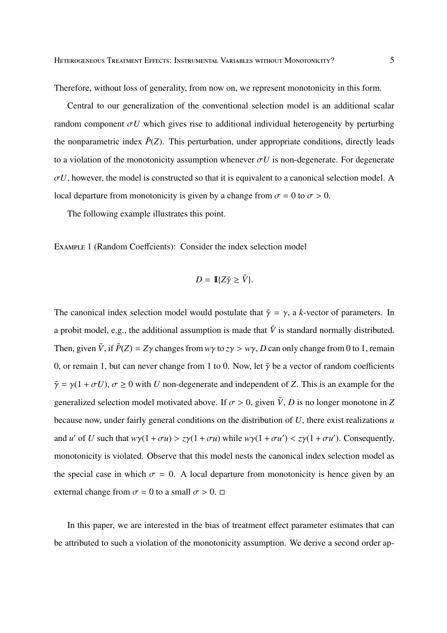Therefore, without loss of generality, from now on, we represent monotonicity in this form.

Central to our generalization of the conventional selection model is an additional scalar random component  $\sigma U$  which gives rise to additional individual heterogeneity by perturbing the nonparametric index  $\tilde{P}(Z)$ . This perturbation, under appropriate conditions, directly leads to a violation of the monotonicity assumption whenever  $\sigma U$  is non-degenerate. For degenerate  $\sigma U$ , however, the model is constructed so that it is equivalent to a canonical selection model. A local departure from monotonicity is given by a change from  $\sigma = 0$  to  $\sigma > 0$ .

The following example illustrates this point.

EXAMPLE 1 (Random Coeffcients): Consider the index selection model

$$
D = \mathbb{I}\{Z\tilde{\gamma} \ge \tilde{V}\}.
$$

The canonical index selection model would postulate that  $\tilde{\gamma} = \gamma$ , a *k*-vector of parameters. In a probit model, e.g., the additional assumption is made that  $\tilde{V}$  is standard normally distributed. Then, given  $\tilde{V}$ , if  $\tilde{P}(Z) = Z\gamma$  changes from  $w\gamma$  to  $z\gamma > w\gamma$ , *D* can only change from 0 to 1, remain 0, or remain 1, but can never change from 1 to 0. Now, let  $\tilde{\gamma}$  be a vector of random coefficients  $\tilde{\gamma} = \gamma(1 + \sigma U)$ ,  $\sigma \ge 0$  with *U* non-degenerate and independent of *Z*. This is an example for the generalized selection model motivated above. If  $\sigma > 0$ , given  $\tilde{V}$ , *D* is no longer monotone in *Z* because now, under fairly general conditions on the distribution of *U*, there exist realizations *u* and *u'* of *U* such that  $w\gamma(1 + \sigma u) > z\gamma(1 + \sigma u)$  while  $w\gamma(1 + \sigma u') < z\gamma(1 + \sigma u')$ . Consequently, monotonicity is violated. Observe that this model nests the canonical index selection model as the special case in which  $\sigma = 0$ . A local departure from monotonicity is hence given by an external change from  $\sigma = 0$  to a small  $\sigma > 0$ .  $\Box$ 

In this paper, we are interested in the bias of treatment effect parameter estimates that can be attributed to such a violation of the monotonicity assumption. We derive a second order ap-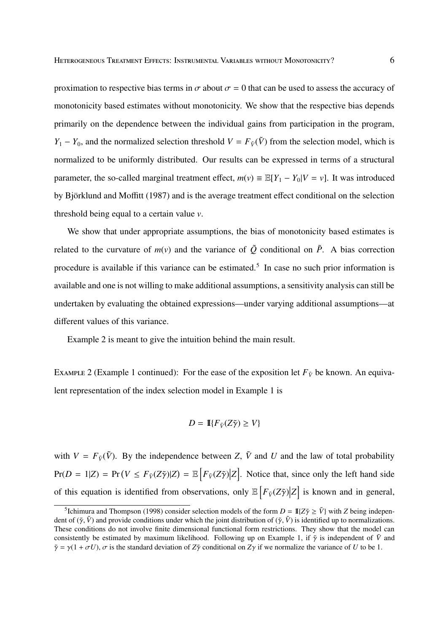proximation to respective bias terms in  $\sigma$  about  $\sigma = 0$  that can be used to assess the accuracy of monotonicity based estimates without monotonicity. We show that the respective bias depends primarily on the dependence between the individual gains from participation in the program, *Y*<sub>1</sub> − *Y*<sub>0</sub>, and the normalized selection threshold *V* =  $F_{\tilde{V}}(\tilde{V})$  from the selection model, which is normalized to be uniformly distributed. Our results can be expressed in terms of a structural parameter, the so-called marginal treatment effect,  $m(v) \equiv \mathbb{E}[Y_1 - Y_0|V = v]$ . It was introduced by Björklund and Moffitt (1987) and is the average treatment effect conditional on the selection threshold being equal to a certain value *v*.

We show that under appropriate assumptions, the bias of monotonicity based estimates is related to the curvature of  $m(v)$  and the variance of  $\tilde{Q}$  conditional on  $\tilde{P}$ . A bias correction procedure is available if this variance can be estimated.<sup>5</sup> In case no such prior information is available and one is not willing to make additional assumptions, a sensitivity analysis can still be undertaken by evaluating the obtained expressions—under varying additional assumptions—at different values of this variance.

Example 2 is meant to give the intuition behind the main result.

EXAMPLE 2 (Example 1 continued): For the ease of the exposition let  $F_{\tilde{V}}$  be known. An equivalent representation of the index selection model in Example 1 is

$$
D = \mathbb{I}\{F_{\tilde{V}}(Z\tilde{\gamma}) \ge V\}
$$

with  $V = F_{\tilde{V}}(\tilde{V})$ . By the independence between *Z*,  $\tilde{V}$  and *U* and the law of total probability  $Pr(D = 1|Z) = Pr(V \leq F_{\tilde{V}}(Z\tilde{\gamma})|Z) = \mathbb{E}\Big[F_{\tilde{V}}(Z\tilde{\gamma})|Z\Big]$ . Notice that, since only the left hand side of this equation is identified from observations, only  $\mathbb{E}\left[F_{\tilde{V}}(Z\tilde{\gamma})|Z\right]$  is known and in general,

<sup>&</sup>lt;sup>5</sup>Ichimura and Thompson (1998) consider selection models of the form  $D = \mathbb{I}\{Z\tilde{\gamma} \geq \tilde{V}\}\$  with *Z* being independent of  $(\tilde{\gamma}, \tilde{V})$  and provide conditions under which the joint distribution of  $(\tilde{\gamma}, \tilde{V})$  is identified up to normalizations. These conditions do not involve finite dimensional functional form restrictions. They show that the model can consistently be estimated by maximum likelihood. Following up on Example 1, if  $\tilde{\gamma}$  is independent of  $\tilde{V}$  and  $\tilde{\gamma} = \gamma(1 + \sigma U)$ ,  $\sigma$  is the standard deviation of  $Z\tilde{\gamma}$  conditional on  $Z\gamma$  if we normalize the variance of *U* to be 1.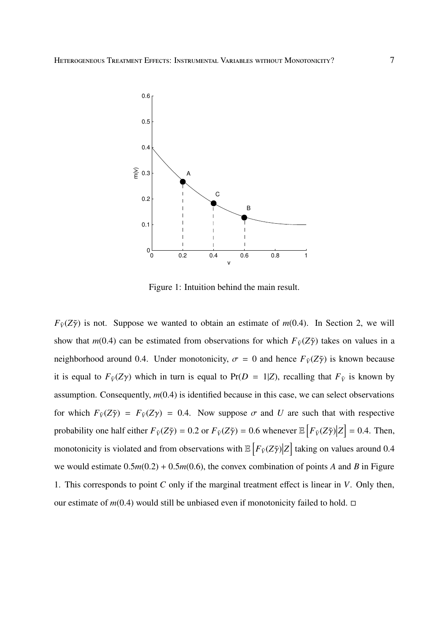

Figure 1: Intuition behind the main result.

 $F_{\tilde{V}}(Z\tilde{\gamma})$  is not. Suppose we wanted to obtain an estimate of *m*(0.4). In Section 2, we will show that  $m(0.4)$  can be estimated from observations for which  $F_{\tilde{V}}(Z\tilde{\gamma})$  takes on values in a neighborhood around 0.4. Under monotonicity,  $\sigma = 0$  and hence  $F_{\tilde{V}}(Z\tilde{\gamma})$  is known because it is equal to  $F_{\tilde{V}}(Z\gamma)$  which in turn is equal to  $Pr(D = 1|Z)$ , recalling that  $F_{\tilde{V}}$  is known by assumption. Consequently, *m*(0.4) is identified because in this case, we can select observations for which  $F_{\tilde{V}}(Z\tilde{\gamma}) = F_{\tilde{V}}(Z\gamma) = 0.4$ . Now suppose  $\sigma$  and *U* are such that with respective probability one half either  $F_{\tilde{V}}(Z\tilde{\gamma}) = 0.2$  or  $F_{\tilde{V}}(Z\tilde{\gamma}) = 0.6$  whenever  $\mathbb{E}\left[F_{\tilde{V}}(Z\tilde{\gamma})|Z\right] = 0.4$ . Then, monotonicity is violated and from observations with  $\mathbb{E}\left[F_{\tilde{V}}(Z\tilde{\gamma})|Z\right]$  taking on values around 0.4 we would estimate 0.5*m*(0.2) + 0.5*m*(0.6), the convex combination of points *A* and *B* in Figure 1. This corresponds to point *C* only if the marginal treatment effect is linear in *V*. Only then, our estimate of  $m(0.4)$  would still be unbiased even if monotonicity failed to hold.  $\square$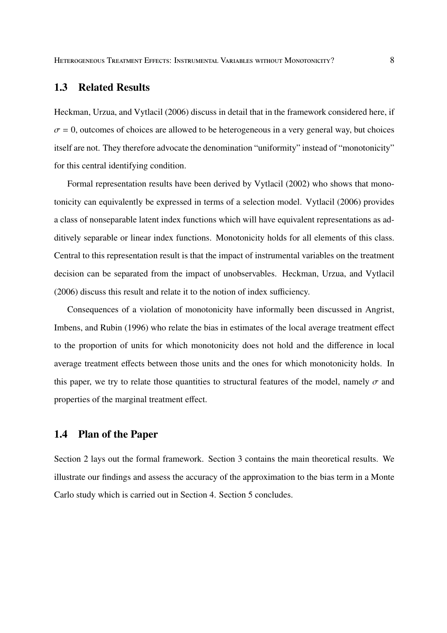### **1.3 Related Results**

Heckman, Urzua, and Vytlacil (2006) discuss in detail that in the framework considered here, if  $\sigma = 0$ , outcomes of choices are allowed to be heterogeneous in a very general way, but choices itself are not. They therefore advocate the denomination "uniformity" instead of "monotonicity" for this central identifying condition.

Formal representation results have been derived by Vytlacil (2002) who shows that monotonicity can equivalently be expressed in terms of a selection model. Vytlacil (2006) provides a class of nonseparable latent index functions which will have equivalent representations as additively separable or linear index functions. Monotonicity holds for all elements of this class. Central to this representation result is that the impact of instrumental variables on the treatment decision can be separated from the impact of unobservables. Heckman, Urzua, and Vytlacil (2006) discuss this result and relate it to the notion of index sufficiency.

Consequences of a violation of monotonicity have informally been discussed in Angrist, Imbens, and Rubin (1996) who relate the bias in estimates of the local average treatment effect to the proportion of units for which monotonicity does not hold and the difference in local average treatment effects between those units and the ones for which monotonicity holds. In this paper, we try to relate those quantities to structural features of the model, namely  $\sigma$  and properties of the marginal treatment effect.

### **1.4 Plan of the Paper**

Section 2 lays out the formal framework. Section 3 contains the main theoretical results. We illustrate our findings and assess the accuracy of the approximation to the bias term in a Monte Carlo study which is carried out in Section 4. Section 5 concludes.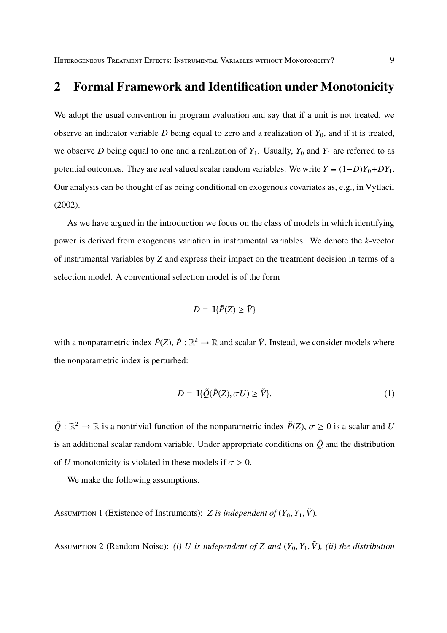# **2 Formal Framework and Identification under Monotonicity**

We adopt the usual convention in program evaluation and say that if a unit is not treated, we observe an indicator variable  $D$  being equal to zero and a realization of  $Y_0$ , and if it is treated, we observe *D* being equal to one and a realization of  $Y_1$ . Usually,  $Y_0$  and  $Y_1$  are referred to as potential outcomes. They are real valued scalar random variables. We write  $Y = (1-D)Y_0 + DY_1$ . Our analysis can be thought of as being conditional on exogenous covariates as, e.g., in Vytlacil (2002).

As we have argued in the introduction we focus on the class of models in which identifying power is derived from exogenous variation in instrumental variables. We denote the *k*-vector of instrumental variables by *Z* and express their impact on the treatment decision in terms of a selection model. A conventional selection model is of the form

$$
D = \mathbb{I}\{\tilde{P}(Z) \ge \tilde{V}\}
$$

with a nonparametric index  $\tilde{P}(Z)$ ,  $\tilde{P}: \mathbb{R}^k \to \mathbb{R}$  and scalar  $\tilde{V}$ . Instead, we consider models where the nonparametric index is perturbed:

$$
D = \mathbb{I}\{\tilde{Q}(\tilde{P}(Z), \sigma U) \ge \tilde{V}\}.
$$
\n<sup>(1)</sup>

 $\tilde{Q}$ :  $\mathbb{R}^2 \to \mathbb{R}$  is a nontrivial function of the nonparametric index  $\tilde{P}(Z)$ ,  $\sigma \ge 0$  is a scalar and *U* is an additional scalar random variable. Under appropriate conditions on  $\tilde{Q}$  and the distribution of *U* monotonicity is violated in these models if  $\sigma > 0$ .

We make the following assumptions.

ASSUMPTION 1 (Existence of Instruments): *Z is independent of*  $(Y_0, Y_1, \tilde{V})$ .

Assumertion 2 (Random Noise): *(i) U is independent of Z and*  $(Y_0, Y_1, \tilde{V})$ *, (ii) the distribution*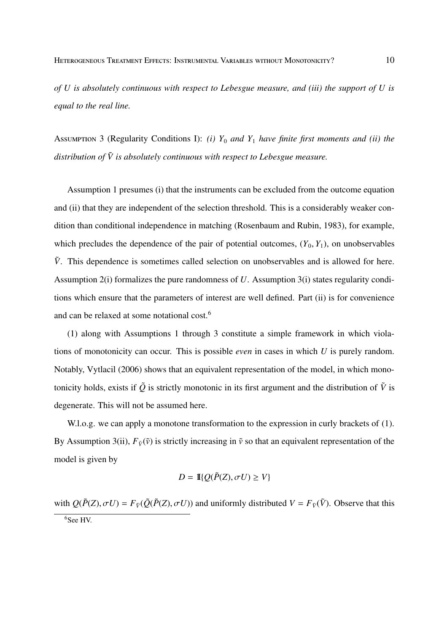*of U is absolutely continuous with respect to Lebesgue measure, and (iii) the support of U is equal to the real line.*

Assumertion 3 (Regularity Conditions I): *(i)*  $Y_0$  *and*  $Y_1$  *have finite first moments and (ii) the distribution of V*˜ *is absolutely continuous with respect to Lebesgue measure.*

Assumption 1 presumes (i) that the instruments can be excluded from the outcome equation and (ii) that they are independent of the selection threshold. This is a considerably weaker condition than conditional independence in matching (Rosenbaum and Rubin, 1983), for example, which precludes the dependence of the pair of potential outcomes,  $(Y_0, Y_1)$ , on unobservables  $\tilde{V}$ . This dependence is sometimes called selection on unobservables and is allowed for here. Assumption 2(i) formalizes the pure randomness of *U*. Assumption 3(i) states regularity conditions which ensure that the parameters of interest are well defined. Part (ii) is for convenience and can be relaxed at some notational cost.<sup>6</sup>

(1) along with Assumptions 1 through 3 constitute a simple framework in which violations of monotonicity can occur. This is possible *even* in cases in which *U* is purely random. Notably, Vytlacil (2006) shows that an equivalent representation of the model, in which monotonicity holds, exists if  $\tilde{Q}$  is strictly monotonic in its first argument and the distribution of  $\tilde{V}$  is degenerate. This will not be assumed here.

W.l.o.g. we can apply a monotone transformation to the expression in curly brackets of (1). By Assumption 3(ii),  $F_{\tilde{v}}(\tilde{v})$  is strictly increasing in  $\tilde{v}$  so that an equivalent representation of the model is given by

$$
D = \mathbb{I}\{Q(\tilde{P}(Z), \sigma U) \ge V\}
$$

with  $Q(\tilde{P}(Z), \sigma U) = F_{\tilde{V}}(\tilde{Q}(\tilde{P}(Z), \sigma U))$  and uniformly distributed  $V = F_{\tilde{V}}(\tilde{V})$ . Observe that this <sup>6</sup>See HV.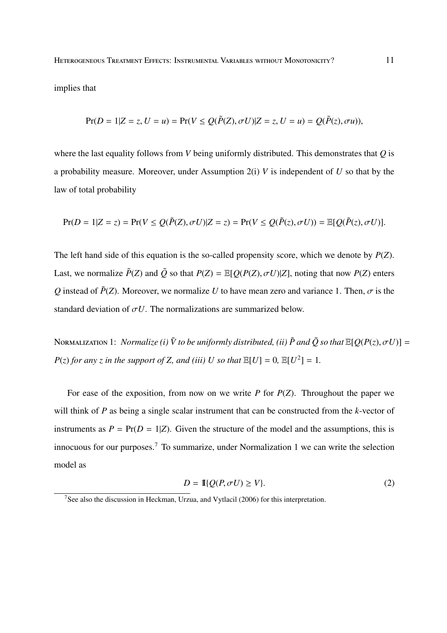HETEROGENEOUS TREATMENT EFFECTS: INSTRUMENTAL VARIABLES WITHOUT MONOTONICITY? 11

implies that

$$
Pr(D = 1|Z = z, U = u) = Pr(V \le Q(\tilde{P}(Z), \sigma U)|Z = z, U = u) = Q(\tilde{P}(z), \sigma u)),
$$

where the last equality follows from *V* being uniformly distributed. This demonstrates that *Q* is a probability measure. Moreover, under Assumption 2(i) *V* is independent of *U* so that by the law of total probability

$$
Pr(D = 1|Z = z) = Pr(V \le Q(\tilde{P}(Z), \sigma U)|Z = z) = Pr(V \le Q(\tilde{P}(z), \sigma U)) = \mathbb{E}[Q(\tilde{P}(z), \sigma U)].
$$

The left hand side of this equation is the so-called propensity score, which we denote by *P*(*Z*). Last, we normalize  $\tilde{P}(Z)$  and  $\tilde{Q}$  so that  $P(Z) = \mathbb{E}[Q(P(Z), \sigma U)|Z]$ , noting that now  $P(Z)$  enters *Q* instead of  $\tilde{P}(Z)$ . Moreover, we normalize *U* to have mean zero and variance 1. Then,  $\sigma$  is the standard deviation of  $\sigma U$ . The normalizations are summarized below.

**NORMALIZATION 1:** *Normalize (i)*  $\tilde{V}$  *to be uniformly distributed, (ii)*  $\tilde{P}$  *and*  $\tilde{O}$  *so that*  $\mathbb{E}[O(P(z), \sigma U)] =$ *P*(*z*) *for any z in the support of Z*, *and* (*iii*) *U so that*  $\mathbb{E}[U] = 0$ ,  $\mathbb{E}[U^2] = 1$ .

For ease of the exposition, from now on we write *P* for *P*(*Z*). Throughout the paper we will think of *P* as being a single scalar instrument that can be constructed from the *k*-vector of instruments as  $P = Pr(D = 1|Z)$ . Given the structure of the model and the assumptions, this is innocuous for our purposes.<sup>7</sup> To summarize, under Normalization 1 we can write the selection model as

$$
D = \mathbb{I}\{Q(P, \sigma U) \ge V\}.
$$
 (2)

<sup>7</sup>See also the discussion in Heckman, Urzua, and Vytlacil (2006) for this interpretation.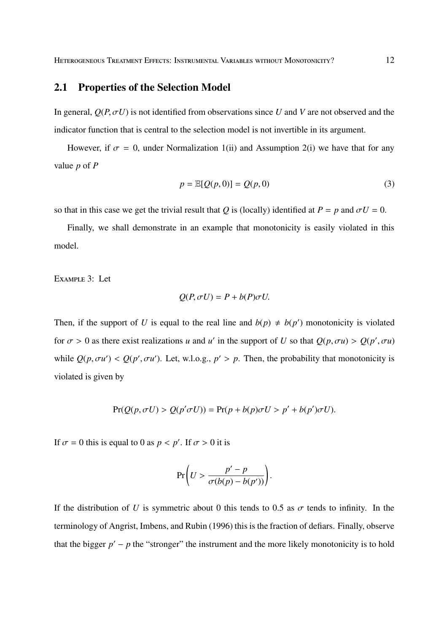#### **2.1 Properties of the Selection Model**

In general,  $Q(P, \sigma U)$  is not identified from observations since *U* and *V* are not observed and the indicator function that is central to the selection model is not invertible in its argument.

However, if  $\sigma = 0$ , under Normalization 1(ii) and Assumption 2(i) we have that for any value *p* of *P*

$$
p = \mathbb{E}[Q(p, 0)] = Q(p, 0)
$$
\n<sup>(3)</sup>

so that in this case we get the trivial result that *Q* is (locally) identified at  $P = p$  and  $\sigma U = 0$ .

Finally, we shall demonstrate in an example that monotonicity is easily violated in this model.

EXAMPLE 3: Let

$$
Q(P, \sigma U) = P + b(P)\sigma U.
$$

Then, if the support of *U* is equal to the real line and  $b(p) \neq b(p')$  monotonicity is violated for  $\sigma > 0$  as there exist realizations *u* and *u'* in the support of *U* so that  $Q(p, \sigma u) > Q(p', \sigma u)$ while  $Q(p, \sigma u') < Q(p', \sigma u')$ . Let, w.l.o.g.,  $p' > p$ . Then, the probability that monotonicity is violated is given by

$$
Pr(Q(p, \sigma U) > Q(p'\sigma U)) = Pr(p + b(p)\sigma U > p' + b(p')\sigma U).
$$

If  $\sigma = 0$  this is equal to 0 as  $p < p'$ . If  $\sigma > 0$  it is

$$
\Pr\left(U > \frac{p'-p}{\sigma(b(p)-b(p'))}\right).
$$

If the distribution of *U* is symmetric about 0 this tends to 0.5 as  $\sigma$  tends to infinity. In the terminology of Angrist, Imbens, and Rubin (1996) this is the fraction of defiars. Finally, observe that the bigger  $p' - p$  the "stronger" the instrument and the more likely monotonicity is to hold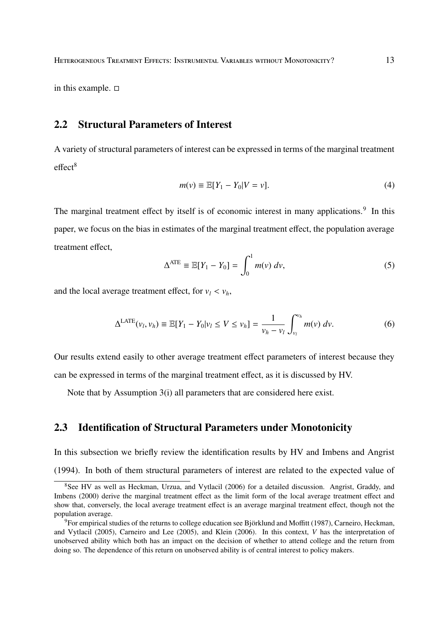in this example.  $\square$ 

# **2.2 Structural Parameters of Interest**

A variety of structural parameters of interest can be expressed in terms of the marginal treatment  $effect<sup>8</sup>$ 

$$
m(v) \equiv \mathbb{E}[Y_1 - Y_0 | V = v]. \tag{4}
$$

The marginal treatment effect by itself is of economic interest in many applications.<sup>9</sup> In this paper, we focus on the bias in estimates of the marginal treatment effect, the population average treatment effect,

$$
\Delta^{\text{ATE}} \equiv \mathbb{E}[Y_1 - Y_0] = \int_0^1 m(v) \, dv,\tag{5}
$$

and the local average treatment effect, for  $v_l < v_h$ ,

$$
\Delta^{\text{LATE}}(v_l, v_h) \equiv \mathbb{E}[Y_1 - Y_0 | v_l \le V \le v_h] = \frac{1}{v_h - v_l} \int_{v_l}^{v_h} m(v) \, dv. \tag{6}
$$

Our results extend easily to other average treatment effect parameters of interest because they can be expressed in terms of the marginal treatment effect, as it is discussed by HV.

Note that by Assumption 3(i) all parameters that are considered here exist.

### **2.3 Identification of Structural Parameters under Monotonicity**

In this subsection we briefly review the identification results by HV and Imbens and Angrist

(1994). In both of them structural parameters of interest are related to the expected value of

<sup>&</sup>lt;sup>8</sup>See HV as well as Heckman, Urzua, and Vytlacil (2006) for a detailed discussion. Angrist, Graddy, and Imbens (2000) derive the marginal treatment effect as the limit form of the local average treatment effect and show that, conversely, the local average treatment effect is an average marginal treatment effect, though not the population average.

 $9$ For empirical studies of the returns to college education see Björklund and Moffitt (1987), Carneiro, Heckman, and Vytlacil (2005), Carneiro and Lee (2005), and Klein (2006). In this context, *V* has the interpretation of unobserved ability which both has an impact on the decision of whether to attend college and the return from doing so. The dependence of this return on unobserved ability is of central interest to policy makers.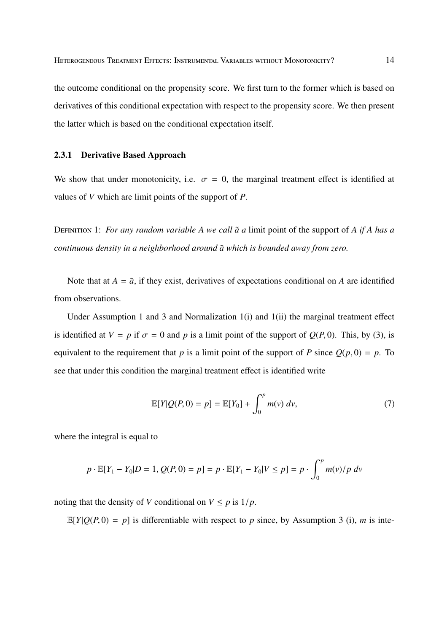the outcome conditional on the propensity score. We first turn to the former which is based on derivatives of this conditional expectation with respect to the propensity score. We then present the latter which is based on the conditional expectation itself.

#### **2.3.1 Derivative Based Approach**

We show that under monotonicity, i.e.  $\sigma = 0$ , the marginal treatment effect is identified at values of *V* which are limit points of the support of *P*.

DEFINITION 1: *For any random variable A we call*  $\tilde{a}$  *a* limit point of the support of *A if A has a continuous density in a neighborhood around a*˜ *which is bounded away from zero.*

Note that at  $A = \tilde{a}$ , if they exist, derivatives of expectations conditional on A are identified from observations.

Under Assumption 1 and 3 and Normalization 1(i) and 1(ii) the marginal treatment effect is identified at  $V = p$  if  $\sigma = 0$  and p is a limit point of the support of  $Q(P, 0)$ . This, by (3), is equivalent to the requirement that *p* is a limit point of the support of *P* since  $Q(p, 0) = p$ . To see that under this condition the marginal treatment effect is identified write

$$
\mathbb{E}[Y|Q(P,0) = p] = \mathbb{E}[Y_0] + \int_0^p m(v) \, dv,\tag{7}
$$

where the integral is equal to

$$
p \cdot \mathbb{E}[Y_1 - Y_0 | D = 1, Q(P, 0) = p] = p \cdot \mathbb{E}[Y_1 - Y_0 | V \le p] = p \cdot \int_0^p m(v) / p \, dv
$$

noting that the density of *V* conditional on  $V \leq p$  is  $1/p$ .

 $\mathbb{E}[Y|Q(P,0) = p]$  is differentiable with respect to p since, by Assumption 3 (i), m is inte-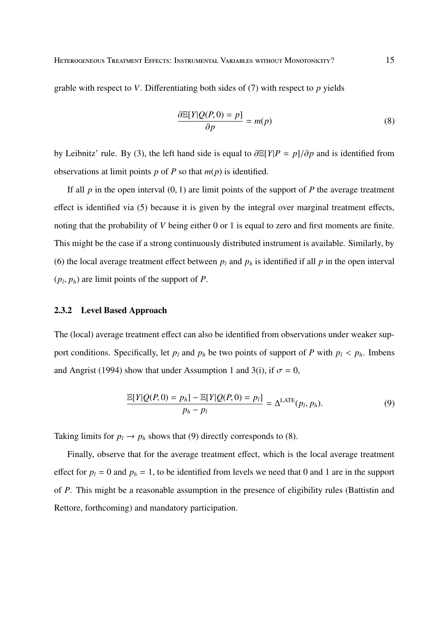grable with respect to *V*. Differentiating both sides of (7) with respect to *p* yields

$$
\frac{\partial \mathbb{E}[Y|Q(P,0) = p]}{\partial p} = m(p) \tag{8}
$$

by Leibnitz' rule. By (3), the left hand side is equal to ∂E[*Y*|*P* = *p*]/∂*p* and is identified from observations at limit points  $p$  of  $P$  so that  $m(p)$  is identified.

If all  $p$  in the open interval  $(0, 1)$  are limit points of the support of  $P$  the average treatment effect is identified via (5) because it is given by the integral over marginal treatment effects, noting that the probability of *V* being either 0 or 1 is equal to zero and first moments are finite. This might be the case if a strong continuously distributed instrument is available. Similarly, by (6) the local average treatment effect between  $p_l$  and  $p_h$  is identified if all  $p$  in the open interval  $(p_l, p_h)$  are limit points of the support of *P*.

#### **2.3.2 Level Based Approach**

The (local) average treatment effect can also be identified from observations under weaker support conditions. Specifically, let  $p_l$  and  $p_h$  be two points of support of *P* with  $p_l < p_h$ . Imbens and Angrist (1994) show that under Assumption 1 and 3(i), if  $\sigma = 0$ ,

$$
\frac{\mathbb{E}[Y|Q(P,0) = p_h] - \mathbb{E}[Y|Q(P,0) = p_l]}{p_h - p_l} = \Delta^{\text{LATE}}(p_l, p_h). \tag{9}
$$

Taking limits for  $p_l \rightarrow p_h$  shows that (9) directly corresponds to (8).

Finally, observe that for the average treatment effect, which is the local average treatment effect for  $p_l = 0$  and  $p_h = 1$ , to be identified from levels we need that 0 and 1 are in the support of *P*. This might be a reasonable assumption in the presence of eligibility rules (Battistin and Rettore, forthcoming) and mandatory participation.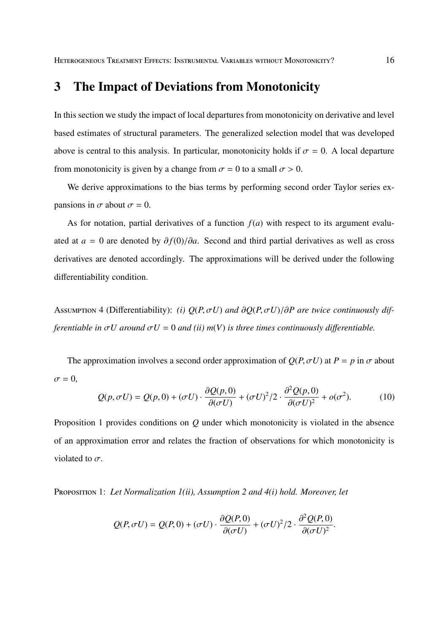# **3 The Impact of Deviations from Monotonicity**

In this section we study the impact of local departures from monotonicity on derivative and level based estimates of structural parameters. The generalized selection model that was developed above is central to this analysis. In particular, monotonicity holds if  $\sigma = 0$ . A local departure from monotonicity is given by a change from  $\sigma = 0$  to a small  $\sigma > 0$ .

We derive approximations to the bias terms by performing second order Taylor series expansions in  $\sigma$  about  $\sigma = 0$ .

As for notation, partial derivatives of a function  $f(a)$  with respect to its argument evaluated at  $a = 0$  are denoted by  $\partial f(0)/\partial a$ . Second and third partial derivatives as well as cross derivatives are denoted accordingly. The approximations will be derived under the following differentiability condition.

Assumertion 4 (Differentiability): *(i)*  $Q(P, \sigma U)$  and  $\partial Q(P, \sigma U)/\partial P$  are twice continuously dif*ferentiable in*  $\sigma U$  *around*  $\sigma U = 0$  *and (ii)*  $m(V)$  *is three times continuously differentiable.* 

The approximation involves a second order approximation of  $Q(P, \sigma U)$  at  $P = p$  in  $\sigma$  about  $\sigma = 0$ ,

$$
Q(p, \sigma U) = Q(p, 0) + (\sigma U) \cdot \frac{\partial Q(p, 0)}{\partial (\sigma U)} + (\sigma U)^2 / 2 \cdot \frac{\partial^2 Q(p, 0)}{\partial (\sigma U)^2} + o(\sigma^2).
$$
 (10)

Proposition 1 provides conditions on *Q* under which monotonicity is violated in the absence of an approximation error and relates the fraction of observations for which monotonicity is violated to  $\sigma$ .

P 1: *Let Normalization 1(ii), Assumption 2 and 4(i) hold. Moreover, let*

$$
Q(P, \sigma U) = Q(P, 0) + (\sigma U) \cdot \frac{\partial Q(P, 0)}{\partial(\sigma U)} + (\sigma U)^2 / 2 \cdot \frac{\partial^2 Q(P, 0)}{\partial(\sigma U)^2}.
$$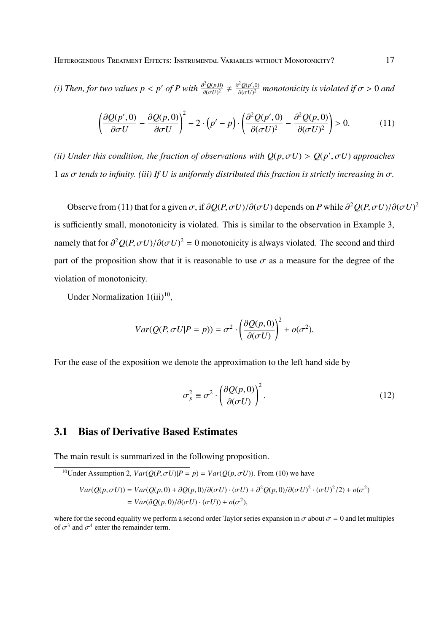*(i) Then, for two values*  $p < p'$  *of P with*  $\frac{\partial^2 Q(p,0)}{\partial (cL)^2}$  $\frac{\partial^2 Q(p,0)}{\partial(\sigma U)^2} \neq \frac{\partial^2 Q(p',0)}{\partial(\sigma U)^2}$  $\frac{\partial^2 Q(p^r,0)}{\partial(\sigma U)^2}$  monotonicity is violated if  $\sigma > 0$  and

$$
\left(\frac{\partial Q(p',0)}{\partial \sigma U} - \frac{\partial Q(p,0)}{\partial \sigma U}\right)^2 - 2 \cdot \left(p' - p\right) \cdot \left(\frac{\partial^2 Q(p',0)}{\partial (\sigma U)^2} - \frac{\partial^2 Q(p,0)}{\partial (\sigma U)^2}\right) > 0.
$$
 (11)

*(ii) Under this condition, the fraction of observations with*  $Q(p, \sigma U) > Q(p', \sigma U)$  *approaches* 1 *as*  $\sigma$  *tends to infinity. (iii)* If *U is uniformly distributed this fraction is strictly increasing in*  $\sigma$ .

Observe from (11) that for a given  $\sigma$ , if  $\partial Q(P, \sigma U)/\partial(\sigma U)$  depends on *P* while  $\partial^2 Q(P, \sigma U)/\partial(\sigma U)^2$ is sufficiently small, monotonicity is violated. This is similar to the observation in Example 3, namely that for  $\partial^2 Q(P, \sigma U)/\partial(\sigma U)^2 = 0$  monotonicity is always violated. The second and third part of the proposition show that it is reasonable to use  $\sigma$  as a measure for the degree of the violation of monotonicity.

Under Normalization  $1(iii)^{10}$ ,

$$
Var(Q(P, \sigma U | P = p)) = \sigma^2 \cdot \left(\frac{\partial Q(p, 0)}{\partial(\sigma U)}\right)^2 + o(\sigma^2).
$$

For the ease of the exposition we denote the approximation to the left hand side by

$$
\sigma_p^2 \equiv \sigma^2 \cdot \left(\frac{\partial Q(p,0)}{\partial (\sigma U)}\right)^2.
$$
 (12)

### **3.1 Bias of Derivative Based Estimates**

The main result is summarized in the following proposition.

<sup>10</sup>Under Assumption 2, 
$$
Var(Q(P, \sigma U)|P = p) = Var(Q(p, \sigma U))
$$
. From (10) we have  
\n
$$
Var(Q(p, \sigma U)) = Var(Q(p, 0) + \partial Q(p, 0)/\partial(\sigma U) \cdot (\sigma U) + \partial^2 Q(p, 0)/\partial(\sigma U)^2 \cdot (\sigma U)^2/2) + o(\sigma^2)
$$
\n
$$
= Var(\partial Q(p, 0)/\partial(\sigma U) \cdot (\sigma U)) + o(\sigma^2),
$$

where for the second equality we perform a second order Taylor series expansion in  $\sigma$  about  $\sigma = 0$  and let multiples of  $\sigma^3$  and  $\sigma^4$  enter the remainder term.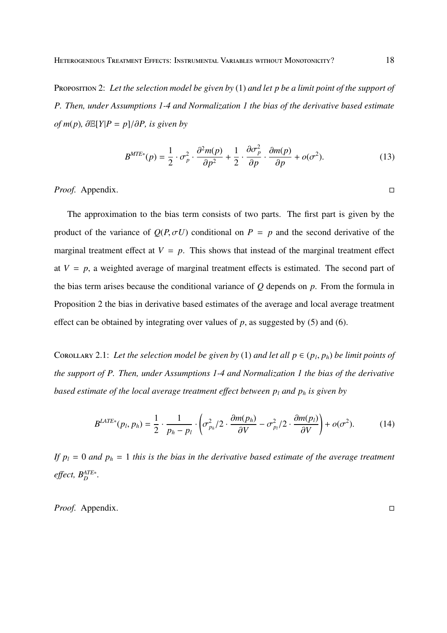PROPOSITION 2: Let the selection model be given by (1) and let p be a limit point of the support of *P. Then, under Assumptions 1-4 and Normalization 1 the bias of the derivative based estimate*  $of$  *m*(*p*)*,*  $∂E[Y|P = p]/∂P$ *, is given by* 

$$
B^{MTE*}(p) = \frac{1}{2} \cdot \sigma_p^2 \cdot \frac{\partial^2 m(p)}{\partial p^2} + \frac{1}{2} \cdot \frac{\partial \sigma_p^2}{\partial p} \cdot \frac{\partial m(p)}{\partial p} + o(\sigma^2). \tag{13}
$$

*Proof.* Appendix. □

The approximation to the bias term consists of two parts. The first part is given by the product of the variance of  $Q(P, \sigma U)$  conditional on  $P = p$  and the second derivative of the marginal treatment effect at  $V = p$ . This shows that instead of the marginal treatment effect at  $V = p$ , a weighted average of marginal treatment effects is estimated. The second part of the bias term arises because the conditional variance of *Q* depends on *p*. From the formula in Proposition 2 the bias in derivative based estimates of the average and local average treatment effect can be obtained by integrating over values of  $p$ , as suggested by (5) and (6).

COROLLARY 2.1: Let the selection model be given by (1) and let all  $p \in (p_l, p_h)$  be limit points of *the support of P. Then, under Assumptions 1-4 and Normalization 1 the bias of the derivative based estimate of the local average treatment e*ff*ect between p<sup>l</sup> and p<sup>h</sup> is given by*

$$
B^{LATE*}(p_l, p_h) = \frac{1}{2} \cdot \frac{1}{p_h - p_l} \cdot \left( \sigma_{p_h}^2 / 2 \cdot \frac{\partial m(p_h)}{\partial V} - \sigma_{p_l}^2 / 2 \cdot \frac{\partial m(p_l)}{\partial V} \right) + o(\sigma^2).
$$
 (14)

If  $p_l = 0$  and  $p_h = 1$  this is the bias in the derivative based estimate of the average treatment *e*ff*ect, B ATE*∗ *D .*

*Proof.* Appendix. □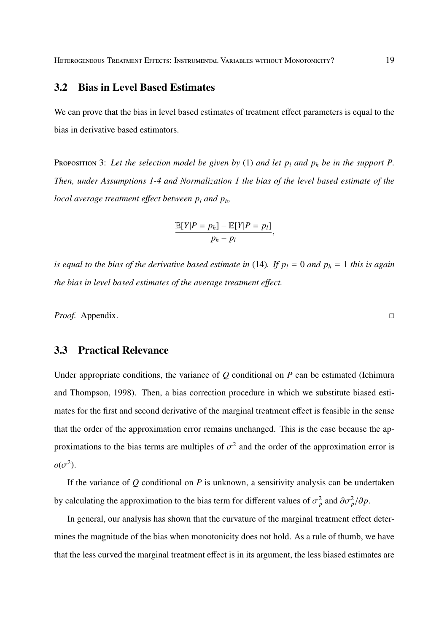#### **3.2 Bias in Level Based Estimates**

We can prove that the bias in level based estimates of treatment effect parameters is equal to the bias in derivative based estimators.

PROPOSITION 3: Let the selection model be given by (1) and let  $p_l$  and  $p_h$  be in the support P. *Then, under Assumptions 1-4 and Normalization 1 the bias of the level based estimate of the local average treatment e*ff*ect between p<sup>l</sup> and ph,*

$$
\frac{\mathbb{E}[Y|P=p_h]-\mathbb{E}[Y|P=p_l]}{p_h-p_l},
$$

is equal to the bias of the derivative based estimate in (14). If  $p_l = 0$  and  $p_h = 1$  this is again *the bias in level based estimates of the average treatment e*ff*ect.*

*Proof.* Appendix. □

## **3.3 Practical Relevance**

Under appropriate conditions, the variance of *Q* conditional on *P* can be estimated (Ichimura and Thompson, 1998). Then, a bias correction procedure in which we substitute biased estimates for the first and second derivative of the marginal treatment effect is feasible in the sense that the order of the approximation error remains unchanged. This is the case because the approximations to the bias terms are multiples of  $\sigma^2$  and the order of the approximation error is  $o(\sigma^2)$ .

If the variance of *Q* conditional on *P* is unknown, a sensitivity analysis can be undertaken by calculating the approximation to the bias term for different values of  $\sigma_p^2$  and  $\partial \sigma_p^2/\partial p$ .

In general, our analysis has shown that the curvature of the marginal treatment effect determines the magnitude of the bias when monotonicity does not hold. As a rule of thumb, we have that the less curved the marginal treatment effect is in its argument, the less biased estimates are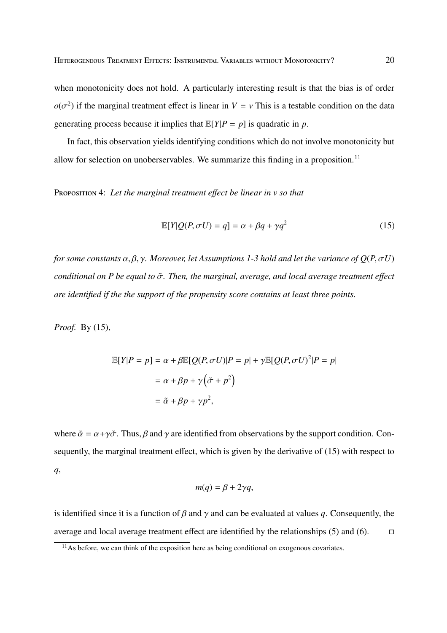when monotonicity does not hold. A particularly interesting result is that the bias is of order  $o(\sigma^2)$  if the marginal treatment effect is linear in *V* = *v* This is a testable condition on the data generating process because it implies that  $E[Y|P = p]$  is quadratic in *p*.

In fact, this observation yields identifying conditions which do not involve monotonicity but allow for selection on unoberservables. We summarize this finding in a proposition.<sup>11</sup>

PROPOSITION 4: Let the marginal treatment effect be linear in v so that

$$
\mathbb{E}[Y|Q(P,\sigma U) = q] = \alpha + \beta q + \gamma q^2 \tag{15}
$$

*for some constants* α, β, γ*. Moreover, let Assumptions 1-3 hold and let the variance of Q*(*P*,σ*U*) *conditional on P be equal to* σ˜ *. Then, the marginal, average, and local average treatment e*ff*ect are identified if the the support of the propensity score contains at least three points.*

*Proof.* By (15),

$$
\mathbb{E}[Y|P = p] = \alpha + \beta \mathbb{E}[Q(P, \sigma U)|P = p| + \gamma \mathbb{E}[Q(P, \sigma U)^{2}|P = p|
$$

$$
= \alpha + \beta p + \gamma (\tilde{\sigma} + p^{2})
$$

$$
= \tilde{\alpha} + \beta p + \gamma p^{2},
$$

where  $\tilde{\alpha} = \alpha + \gamma \tilde{\sigma}$ . Thus,  $\beta$  and  $\gamma$  are identified from observations by the support condition. Consequently, the marginal treatment effect, which is given by the derivative of (15) with respect to *q*,

$$
m(q) = \beta + 2\gamma q,
$$

is identified since it is a function of  $\beta$  and  $\gamma$  and can be evaluated at values q. Consequently, the average and local average treatment effect are identified by the relationships (5) and (6).  $\Box$ 

 $<sup>11</sup>$ As before, we can think of the exposition here as being conditional on exogenous covariates.</sup>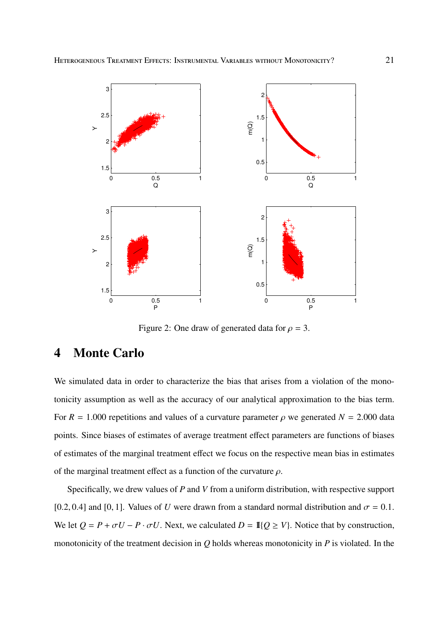

Figure 2: One draw of generated data for  $\rho = 3$ .

# **4 Monte Carlo**

We simulated data in order to characterize the bias that arises from a violation of the monotonicity assumption as well as the accuracy of our analytical approximation to the bias term. For  $R = 1.000$  repetitions and values of a curvature parameter  $\rho$  we generated  $N = 2.000$  data points. Since biases of estimates of average treatment effect parameters are functions of biases of estimates of the marginal treatment effect we focus on the respective mean bias in estimates of the marginal treatment effect as a function of the curvature  $\rho$ .

Specifically, we drew values of *P* and *V* from a uniform distribution, with respective support [0.2, 0.4] and [0, 1]. Values of *U* were drawn from a standard normal distribution and  $\sigma = 0.1$ . We let  $Q = P + \sigma U - P \cdot \sigma U$ . Next, we calculated  $D = \mathbb{I}{Q \geq V}$ . Notice that by construction, monotonicity of the treatment decision in *Q* holds whereas monotonicity in *P* is violated. In the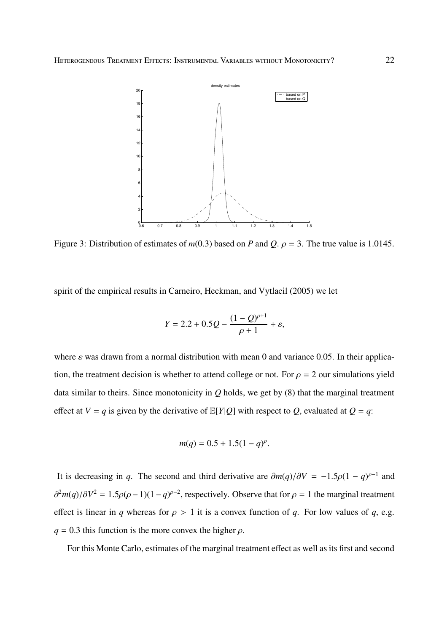

Figure 3: Distribution of estimates of  $m(0.3)$  based on *P* and *Q*.  $\rho = 3$ . The true value is 1.0145.

spirit of the empirical results in Carneiro, Heckman, and Vytlacil (2005) we let

$$
Y = 2.2 + 0.5Q - \frac{(1 - Q)^{\rho+1}}{\rho + 1} + \varepsilon,
$$

where  $\varepsilon$  was drawn from a normal distribution with mean 0 and variance 0.05. In their application, the treatment decision is whether to attend college or not. For  $\rho = 2$  our simulations yield data similar to theirs. Since monotonicity in *Q* holds, we get by (8) that the marginal treatment effect at  $V = q$  is given by the derivative of  $E[Y|Q]$  with respect to *Q*, evaluated at  $Q = q$ :

$$
m(q) = 0.5 + 1.5(1 - q)^{\rho}.
$$

It is decreasing in *q*. The second and third derivative are  $\partial m(q)/\partial V = -1.5\rho(1-q)^{\rho-1}$  and  $\partial^2 m(q)/\partial V^2 = 1.5\rho(\rho - 1)(1 - q)^{\rho - 2}$ , respectively. Observe that for  $\rho = 1$  the marginal treatment effect is linear in *q* whereas for  $\rho > 1$  it is a convex function of *q*. For low values of *q*, e.g.  $q = 0.3$  this function is the more convex the higher  $\rho$ .

For this Monte Carlo, estimates of the marginal treatment effect as well as its first and second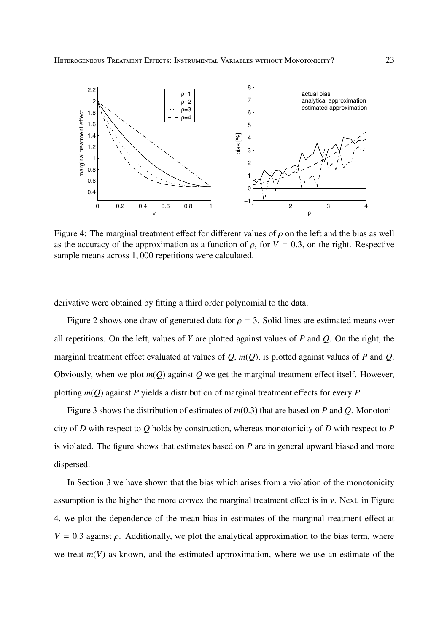

Figure 4: The marginal treatment effect for different values of  $\rho$  on the left and the bias as well as the accuracy of the approximation as a function of  $\rho$ , for  $V = 0.3$ , on the right. Respective sample means across 1, 000 repetitions were calculated.

derivative were obtained by fitting a third order polynomial to the data.

Figure 2 shows one draw of generated data for  $\rho = 3$ . Solid lines are estimated means over all repetitions. On the left, values of *Y* are plotted against values of *P* and *Q*. On the right, the marginal treatment effect evaluated at values of *Q*, *m*(*Q*), is plotted against values of *P* and *Q*. Obviously, when we plot *m*(*Q*) against *Q* we get the marginal treatment effect itself. However, plotting *m*(*Q*) against *P* yields a distribution of marginal treatment effects for every *P*.

Figure 3 shows the distribution of estimates of *m*(0.3) that are based on *P* and *Q*. Monotonicity of *D* with respect to *Q* holds by construction, whereas monotonicity of *D* with respect to *P* is violated. The figure shows that estimates based on *P* are in general upward biased and more dispersed.

In Section 3 we have shown that the bias which arises from a violation of the monotonicity assumption is the higher the more convex the marginal treatment effect is in *v*. Next, in Figure 4, we plot the dependence of the mean bias in estimates of the marginal treatment effect at  $V = 0.3$  against  $\rho$ . Additionally, we plot the analytical approximation to the bias term, where we treat  $m(V)$  as known, and the estimated approximation, where we use an estimate of the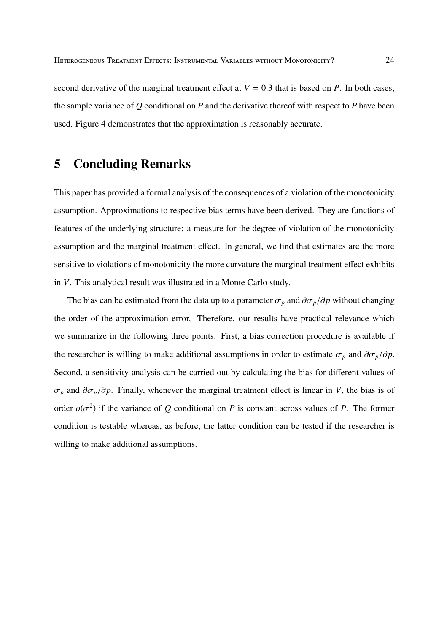second derivative of the marginal treatment effect at  $V = 0.3$  that is based on *P*. In both cases, the sample variance of *Q* conditional on *P* and the derivative thereof with respect to *P* have been used. Figure 4 demonstrates that the approximation is reasonably accurate.

# **5 Concluding Remarks**

This paper has provided a formal analysis of the consequences of a violation of the monotonicity assumption. Approximations to respective bias terms have been derived. They are functions of features of the underlying structure: a measure for the degree of violation of the monotonicity assumption and the marginal treatment effect. In general, we find that estimates are the more sensitive to violations of monotonicity the more curvature the marginal treatment effect exhibits in *V*. This analytical result was illustrated in a Monte Carlo study.

The bias can be estimated from the data up to a parameter  $\sigma_p$  and  $\partial \sigma_p / \partial p$  without changing the order of the approximation error. Therefore, our results have practical relevance which we summarize in the following three points. First, a bias correction procedure is available if the researcher is willing to make additional assumptions in order to estimate  $\sigma_p$  and  $\partial \sigma_p / \partial p$ . Second, a sensitivity analysis can be carried out by calculating the bias for different values of  $\sigma_p$  and  $\partial \sigma_p / \partial p$ . Finally, whenever the marginal treatment effect is linear in *V*, the bias is of order  $o(\sigma^2)$  if the variance of *Q* conditional on *P* is constant across values of *P*. The former condition is testable whereas, as before, the latter condition can be tested if the researcher is willing to make additional assumptions.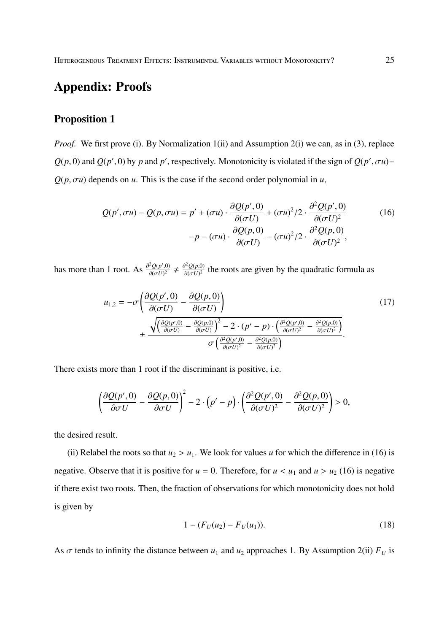# **Appendix: Proofs**

# **Proposition 1**

*Proof.* We first prove (i). By Normalization 1(ii) and Assumption 2(i) we can, as in (3), replace  $Q(p, 0)$  and  $Q(p', 0)$  by *p* and *p*', respectively. Monotonicity is violated if the sign of  $Q(p', \sigma u)$ −  $Q(p, \sigma u)$  depends on *u*. This is the case if the second order polynomial in *u*,

$$
Q(p', \sigma u) - Q(p, \sigma u) = p' + (\sigma u) \cdot \frac{\partial Q(p', 0)}{\partial(\sigma U)} + (\sigma u)^2 / 2 \cdot \frac{\partial^2 Q(p', 0)}{\partial(\sigma U)^2}
$$
  

$$
-p - (\sigma u) \cdot \frac{\partial Q(p, 0)}{\partial(\sigma U)} - (\sigma u)^2 / 2 \cdot \frac{\partial^2 Q(p, 0)}{\partial(\sigma U)^2},
$$
 (16)

has more than 1 root. As  $\frac{\partial^2 Q(p',0)}{\partial (rJ)^2}$  $\frac{\partial^2 Q(p',0)}{\partial(\sigma U)^2} \neq \frac{\partial^2 Q(p,0)}{\partial(\sigma U)^2}$  $\frac{\partial^2 U(p,0)}{\partial (\sigma U)^2}$  the roots are given by the quadratic formula as

$$
u_{1,2} = -\sigma \left( \frac{\partial Q(p',0)}{\partial(\sigma U)} - \frac{\partial Q(p,0)}{\partial(\sigma U)} \right)
$$
  

$$
\pm \frac{\sqrt{\left( \frac{\partial Q(p',0)}{\partial(\sigma U)} - \frac{\partial Q(p,0)}{\partial(\sigma U)} \right)^2 - 2 \cdot (p' - p) \cdot \left( \frac{\partial^2 Q(p',0)}{\partial(\sigma U)^2} - \frac{\partial^2 Q(p,0)}{\partial(\sigma U)^2} \right)}}{\sigma \left( \frac{\partial^2 Q(p',0)}{\partial(\sigma U)^2} - \frac{\partial^2 Q(p,0)}{\partial(\sigma U)^2} \right)}.
$$
 (17)

There exists more than 1 root if the discriminant is positive, i.e.

$$
\left(\frac{\partial Q(p',0)}{\partial \sigma U} - \frac{\partial Q(p,0)}{\partial \sigma U}\right)^2 - 2 \cdot \left(p' - p\right) \cdot \left(\frac{\partial^2 Q(p',0)}{\partial (\sigma U)^2} - \frac{\partial^2 Q(p,0)}{\partial (\sigma U)^2}\right) > 0,
$$

the desired result.

(ii) Relabel the roots so that  $u_2 > u_1$ . We look for values *u* for which the difference in (16) is negative. Observe that it is positive for  $u = 0$ . Therefore, for  $u < u_1$  and  $u > u_2$  (16) is negative if there exist two roots. Then, the fraction of observations for which monotonicity does not hold is given by

$$
1 - (F_U(u_2) - F_U(u_1)).
$$
\n(18)

As  $\sigma$  tends to infinity the distance between  $u_1$  and  $u_2$  approaches 1. By Assumption 2(ii)  $F_U$  is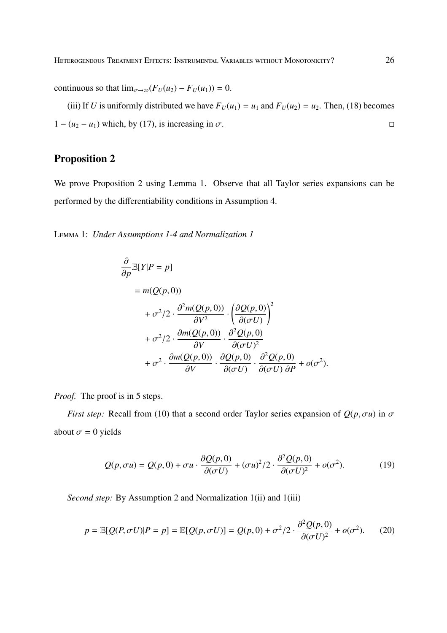continuous so that  $\lim_{\sigma \to \infty} (F_U(u_2) - F_U(u_1)) = 0.$ 

(iii) If *U* is uniformly distributed we have  $F_U(u_1) = u_1$  and  $F_U(u_2) = u_2$ . Then, (18) becomes  $1 - (u_2 - u_1)$  which, by (17), is increasing in  $\sigma$ .

# **Proposition 2**

We prove Proposition 2 using Lemma 1. Observe that all Taylor series expansions can be performed by the differentiability conditions in Assumption 4.

L 1: *Under Assumptions 1-4 and Normalization 1*

$$
\frac{\partial}{\partial p} \mathbb{E}[Y|P = p]
$$
\n
$$
= m(Q(p, 0))
$$
\n
$$
+ \sigma^2/2 \cdot \frac{\partial^2 m(Q(p, 0))}{\partial V^2} \cdot \left(\frac{\partial Q(p, 0)}{\partial (\sigma U)}\right)^2
$$
\n
$$
+ \sigma^2/2 \cdot \frac{\partial m(Q(p, 0))}{\partial V} \cdot \frac{\partial^2 Q(p, 0)}{\partial (\sigma U)^2}
$$
\n
$$
+ \sigma^2 \cdot \frac{\partial m(Q(p, 0))}{\partial V} \cdot \frac{\partial Q(p, 0)}{\partial (\sigma U)} \cdot \frac{\partial^2 Q(p, 0)}{\partial (\sigma U) \partial P} + o(\sigma^2).
$$

*Proof.* The proof is in 5 steps.

*First step:* Recall from (10) that a second order Taylor series expansion of  $Q(p, \sigma u)$  in  $\sigma$ about  $\sigma = 0$  yields

$$
Q(p,\sigma u) = Q(p,0) + \sigma u \cdot \frac{\partial Q(p,0)}{\partial(\sigma U)} + (\sigma u)^2 / 2 \cdot \frac{\partial^2 Q(p,0)}{\partial(\sigma U)^2} + o(\sigma^2).
$$
 (19)

*Second step:* By Assumption 2 and Normalization 1(ii) and 1(iii)

$$
p = \mathbb{E}[Q(P, \sigma U)|P = p] = \mathbb{E}[Q(p, \sigma U)] = Q(p, 0) + \sigma^2/2 \cdot \frac{\partial^2 Q(p, 0)}{\partial(\sigma U)^2} + o(\sigma^2). \tag{20}
$$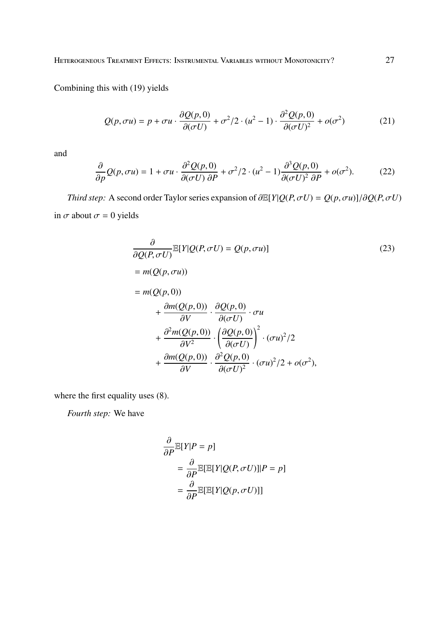HETEROGENEOUS TREATMENT EFFECTS: INSTRUMENTAL VARIABLES WITHOUT MONOTONICITY? 27

Combining this with (19) yields

$$
Q(p,\sigma u) = p + \sigma u \cdot \frac{\partial Q(p,0)}{\partial(\sigma U)} + \sigma^2/2 \cdot (u^2 - 1) \cdot \frac{\partial^2 Q(p,0)}{\partial(\sigma U)^2} + o(\sigma^2)
$$
(21)

and

$$
\frac{\partial}{\partial p}Q(p,\sigma u) = 1 + \sigma u \cdot \frac{\partial^2 Q(p,0)}{\partial(\sigma U)\,\partial P} + \sigma^2/2 \cdot (u^2 - 1) \frac{\partial^3 Q(p,0)}{\partial(\sigma U)^2\,\partial P} + o(\sigma^2). \tag{22}
$$

*Third step:* A second order Taylor series expansion of  $\partial E[Y|Q(P,\sigma U) = Q(p,\sigma u)]/\partial Q(P,\sigma U)$ in  $\sigma$  about  $\sigma = 0$  yields

$$
\frac{\partial}{\partial Q(P, \sigma U)} \mathbb{E}[Y|Q(P, \sigma U) = Q(p, \sigma u)]
$$
\n
$$
= m(Q(p, \sigma u))
$$
\n
$$
= m(Q(p, 0))
$$
\n
$$
+ \frac{\partial m(Q(p, 0))}{\partial V} \cdot \frac{\partial Q(p, 0)}{\partial(\sigma U)} \cdot \sigma u
$$
\n
$$
+ \frac{\partial^2 m(Q(p, 0))}{\partial V^2} \cdot \left(\frac{\partial Q(p, 0)}{\partial(\sigma U)}\right)^2 \cdot (\sigma u)^2 / 2
$$
\n
$$
+ \frac{\partial m(Q(p, 0))}{\partial V} \cdot \frac{\partial^2 Q(p, 0)}{\partial(\sigma U)^2} \cdot (\sigma u)^2 / 2 + o(\sigma^2),
$$
\n(23)

where the first equality uses (8).

*Fourth step:* We have

$$
\frac{\partial}{\partial P} \mathbb{E}[Y|P = p]
$$
  
= 
$$
\frac{\partial}{\partial P} \mathbb{E}[\mathbb{E}[Y|Q(P, \sigma U)]|P = p]
$$
  
= 
$$
\frac{\partial}{\partial P} \mathbb{E}[\mathbb{E}[Y|Q(p, \sigma U)]]
$$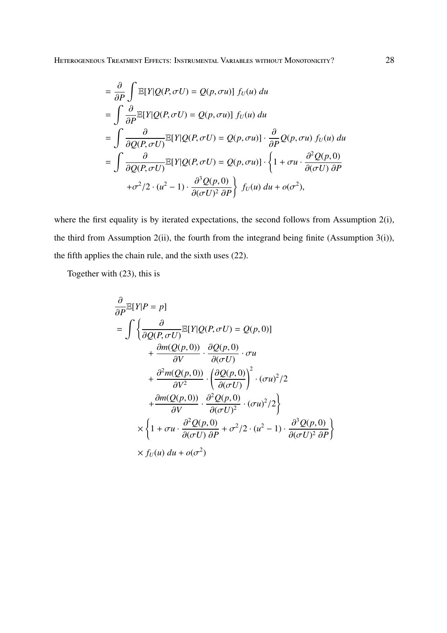HETEROGENEOUS TREATMENT EFFECTS: INSTRUMENTAL VARIABLES WITHOUT MONOTONICITY? 28

$$
= \frac{\partial}{\partial P} \int \mathbb{E}[Y|Q(P,\sigma U) = Q(p,\sigma u)] f_U(u) du
$$
  
\n
$$
= \int \frac{\partial}{\partial P} \mathbb{E}[Y|Q(P,\sigma U) = Q(p,\sigma u)] f_U(u) du
$$
  
\n
$$
= \int \frac{\partial}{\partial Q(P,\sigma U)} \mathbb{E}[Y|Q(P,\sigma U) = Q(p,\sigma u)] \cdot \frac{\partial}{\partial P} Q(p,\sigma u) f_U(u) du
$$
  
\n
$$
= \int \frac{\partial}{\partial Q(P,\sigma U)} \mathbb{E}[Y|Q(P,\sigma U) = Q(p,\sigma u)] \cdot \left\{1 + \sigma u \cdot \frac{\partial^2 Q(p,0)}{\partial (\sigma U) \partial P} + \sigma^2/2 \cdot (u^2 - 1) \cdot \frac{\partial^3 Q(p,0)}{\partial (\sigma U)^2 \partial P}\right\} f_U(u) du + o(\sigma^2),
$$

where the first equality is by iterated expectations, the second follows from Assumption 2(i), the third from Assumption 2(ii), the fourth from the integrand being finite (Assumption 3(i)), the fifth applies the chain rule, and the sixth uses (22).

Together with (23), this is

$$
\frac{\partial}{\partial P} \mathbb{E}[Y|P = p]
$$
\n
$$
= \int \left\{ \frac{\partial}{\partial Q(P, \sigma U)} \mathbb{E}[Y|Q(P, \sigma U) = Q(p, 0)] + \frac{\partial m(Q(p, 0))}{\partial V} \cdot \frac{\partial Q(p, 0)}{\partial(\sigma U)} \cdot \sigma u + \frac{\partial^2 m(Q(p, 0))}{\partial V^2} \cdot \left(\frac{\partial Q(p, 0)}{\partial(\sigma U)}\right)^2 \cdot (\sigma u)^2 / 2 + \frac{\partial m(Q(p, 0))}{\partial V} \cdot \frac{\partial^2 Q(p, 0)}{\partial(\sigma U)^2} \cdot (\sigma u)^2 / 2 \right\}
$$
\n
$$
\times \left\{ 1 + \sigma u \cdot \frac{\partial^2 Q(p, 0)}{\partial(\sigma U) \partial P} + \sigma^2 / 2 \cdot (u^2 - 1) \cdot \frac{\partial^3 Q(p, 0)}{\partial(\sigma U)^2 \partial P} \right\}
$$
\n
$$
\times f_U(u) du + o(\sigma^2)
$$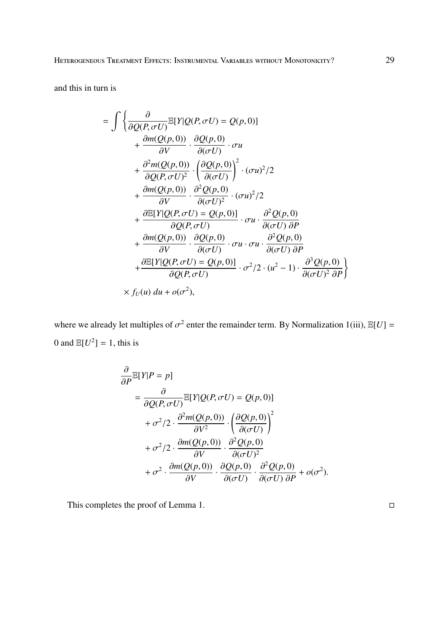and this in turn is

$$
= \int \left\{ \frac{\partial}{\partial Q(P, \sigma U)} \mathbb{E}[Y|Q(P, \sigma U) = Q(p, 0)] + \frac{\partial m(Q(p, 0))}{\partial V} \cdot \frac{\partial Q(p, 0)}{\partial(\sigma U)} \cdot \sigma u + \frac{\partial^2 m(Q(p, 0))}{\partial Q(P, \sigma U)^2} \cdot \left(\frac{\partial Q(p, 0)}{\partial(\sigma U)}\right)^2 \cdot (\sigma u)^2 / 2 + \frac{\partial m(Q(p, 0))}{\partial V} \cdot \frac{\partial^2 Q(p, 0)}{\partial(\sigma U)^2} \cdot (\sigma u)^2 / 2 + \frac{\partial \mathbb{E}[Y|Q(P, \sigma U) = Q(p, 0)]}{\partial Q(P, \sigma U)} \cdot \sigma u \cdot \frac{\partial^2 Q(p, 0)}{\partial(\sigma U) \partial P} + \frac{\partial m(Q(p, 0))}{\partial V} \cdot \frac{\partial Q(p, 0)}{\partial(\sigma U)} \cdot \sigma u \cdot \sigma u \cdot \frac{\partial^2 Q(p, 0)}{\partial(\sigma U) \partial P} + \frac{\partial \mathbb{E}[Y|Q(P, \sigma U) = Q(p, 0)]}{\partial Q(P, \sigma U)} \cdot \sigma^2 / 2 \cdot (u^2 - 1) \cdot \frac{\partial^3 Q(p, 0)}{\partial(\sigma U)^2 \partial P} \right\}
$$
  
 
$$
\times f_U(u) du + o(\sigma^2),
$$

where we already let multiples of  $\sigma^2$  enter the remainder term. By Normalization 1(iii),  $\mathbb{E}[U] =$ 0 and  $\mathbb{E}[U^2] = 1$ , this is

$$
\frac{\partial}{\partial P} \mathbb{E}[Y|P = p]
$$
\n
$$
= \frac{\partial}{\partial Q(P, \sigma U)} \mathbb{E}[Y|Q(P, \sigma U) = Q(p, 0)]
$$
\n
$$
+ \sigma^2/2 \cdot \frac{\partial^2 m(Q(p, 0))}{\partial V^2} \cdot \left(\frac{\partial Q(p, 0)}{\partial(\sigma U)}\right)^2
$$
\n
$$
+ \sigma^2/2 \cdot \frac{\partial m(Q(p, 0))}{\partial V} \cdot \frac{\partial^2 Q(p, 0)}{\partial(\sigma U)^2}
$$
\n
$$
+ \sigma^2 \cdot \frac{\partial m(Q(p, 0))}{\partial V} \cdot \frac{\partial Q(p, 0)}{\partial(\sigma U)} \cdot \frac{\partial^2 Q(p, 0)}{\partial(\sigma U) \partial P} + o(\sigma^2).
$$

This completes the proof of Lemma 1.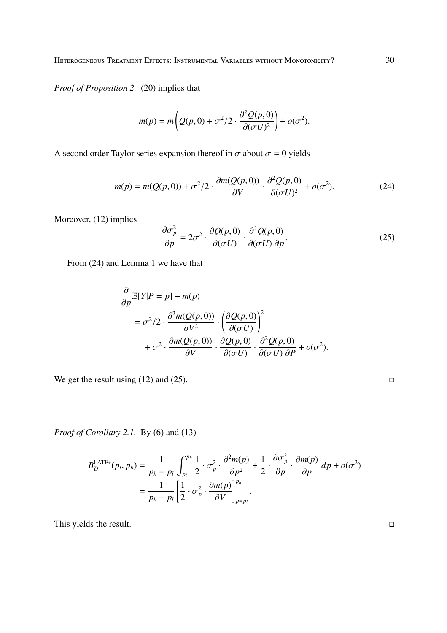*Proof of Proposition 2.* (20) implies that

$$
m(p) = m\left(Q(p,0) + \sigma^2/2 \cdot \frac{\partial^2 Q(p,0)}{\partial (\sigma U)^2}\right) + o(\sigma^2).
$$

A second order Taylor series expansion thereof in  $\sigma$  about  $\sigma = 0$  yields

$$
m(p) = m(Q(p,0)) + \sigma^2/2 \cdot \frac{\partial m(Q(p,0))}{\partial V} \cdot \frac{\partial^2 Q(p,0)}{\partial (\sigma U)^2} + o(\sigma^2). \tag{24}
$$

Moreover,  $(12)$  implies

$$
\frac{\partial \sigma_p^2}{\partial p} = 2\sigma^2 \cdot \frac{\partial Q(p,0)}{\partial (\sigma U)} \cdot \frac{\partial^2 Q(p,0)}{\partial (\sigma U) \partial p}.
$$
 (25)

From (24) and Lemma 1 we have that

$$
\frac{\partial}{\partial p} \mathbb{E}[Y|P = p] - m(p)
$$
\n
$$
= \sigma^2/2 \cdot \frac{\partial^2 m(Q(p, 0))}{\partial V^2} \cdot \left(\frac{\partial Q(p, 0)}{\partial(\sigma U)}\right)^2
$$
\n
$$
+ \sigma^2 \cdot \frac{\partial m(Q(p, 0))}{\partial V} \cdot \frac{\partial Q(p, 0)}{\partial(\sigma U)} \cdot \frac{\partial^2 Q(p, 0)}{\partial(\sigma U) \partial P} + o(\sigma^2).
$$

We get the result using (12) and (25).

*Proof of Corollary 2.1.* By (6) and (13)

$$
B_D^{\text{LATE*}}(p_l, p_h) = \frac{1}{p_h - p_l} \int_{p_l}^{p_h} \frac{1}{2} \cdot \sigma_p^2 \cdot \frac{\partial^2 m(p)}{\partial p^2} + \frac{1}{2} \cdot \frac{\partial \sigma_p^2}{\partial p} \cdot \frac{\partial m(p)}{\partial p} dp + o(\sigma^2)
$$
  
= 
$$
\frac{1}{p_h - p_l} \left[ \frac{1}{2} \cdot \sigma_p^2 \cdot \frac{\partial m(p)}{\partial V} \right]_{p=p_l}^{p_h}.
$$

This yields the result.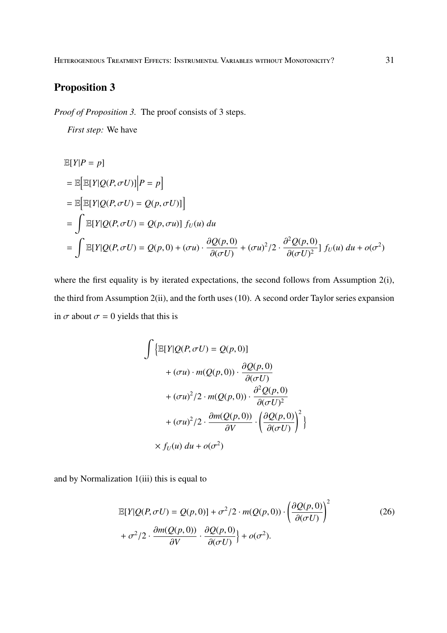# **Proposition 3**

*Proof of Proposition 3.* The proof consists of 3 steps.

*First step:* We have

$$
\mathbb{E}[Y|P = p]
$$
\n
$$
= \mathbb{E}[\mathbb{E}[Y|Q(P, \sigma U)] | P = p]
$$
\n
$$
= \mathbb{E}[\mathbb{E}[Y|Q(P, \sigma U)] = Q(p, \sigma U)]
$$
\n
$$
= \int \mathbb{E}[Y|Q(P, \sigma U) = Q(p, \sigma u)] f_U(u) du
$$
\n
$$
= \int \mathbb{E}[Y|Q(P, \sigma U) = Q(p, 0) + (\sigma u) \cdot \frac{\partial Q(p, 0)}{\partial(\sigma U)} + (\sigma u)^2 / 2 \cdot \frac{\partial^2 Q(p, 0)}{\partial(\sigma U)^2}] f_U(u) du + o(\sigma^2)
$$

where the first equality is by iterated expectations, the second follows from Assumption 2(i), the third from Assumption 2(ii), and the forth uses (10). A second order Taylor series expansion in  $\sigma$  about  $\sigma = 0$  yields that this is

$$
\int \left\{ \mathbb{E}[Y|Q(P, \sigma U) = Q(p, 0)] + (\sigma u) \cdot m(Q(p, 0)) \cdot \frac{\partial Q(p, 0)}{\partial(\sigma U)} + (\sigma u)^2 / 2 \cdot m(Q(p, 0)) \cdot \frac{\partial^2 Q(p, 0)}{\partial(\sigma U)^2} + (\sigma u)^2 / 2 \cdot \frac{\partial m(Q(p, 0))}{\partial V} \cdot \left( \frac{\partial Q(p, 0)}{\partial(\sigma U)} \right)^2 \right\}
$$
  
×  $f_U(u) du + o(\sigma^2)$ 

and by Normalization 1(iii) this is equal to

$$
\mathbb{E}[Y|Q(P,\sigma U) = Q(p,0)] + \sigma^2/2 \cdot m(Q(p,0)) \cdot \left(\frac{\partial Q(p,0)}{\partial(\sigma U)}\right)^2 + \sigma^2/2 \cdot \frac{\partial m(Q(p,0))}{\partial V} \cdot \frac{\partial Q(p,0)}{\partial(\sigma U)}\right) + o(\sigma^2).
$$
\n(26)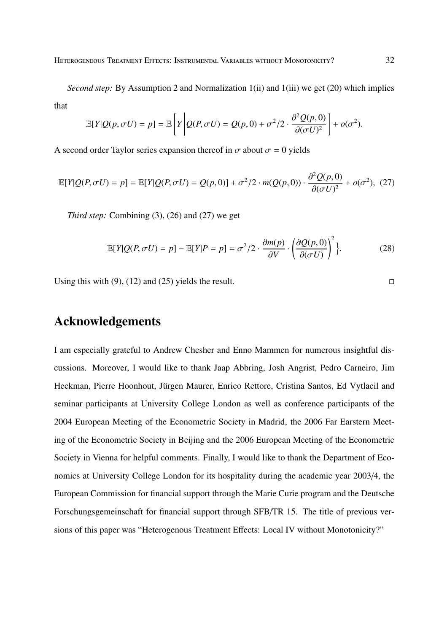*Second step:* By Assumption 2 and Normalization 1(ii) and 1(iii) we get (20) which implies that

$$
\mathbb{E}[Y|Q(p,\sigma U) = p] = \mathbb{E}\left[Y\left|Q(P,\sigma U) = Q(p,0) + \sigma^2/2 \cdot \frac{\partial^2 Q(p,0)}{\partial(\sigma U)^2}\right.\right] + o(\sigma^2).
$$

A second order Taylor series expansion thereof in  $\sigma$  about  $\sigma = 0$  yields

$$
\mathbb{E}[Y|Q(P,\sigma U) = p] = \mathbb{E}[Y|Q(P,\sigma U) = Q(p,0)] + \sigma^2/2 \cdot m(Q(p,0)) \cdot \frac{\partial^2 Q(p,0)}{\partial (\sigma U)^2} + o(\sigma^2),
$$
 (27)

*Third step:* Combining (3), (26) and (27) we get

$$
\mathbb{E}[Y|Q(P,\sigma U) = p] - \mathbb{E}[Y|P = p] = \sigma^2/2 \cdot \frac{\partial m(p)}{\partial V} \cdot \left(\frac{\partial Q(p,0)}{\partial(\sigma U)}\right)^2\}.
$$
 (28)

Using this with (9), (12) and (25) yields the result.  $\Box$ 

# **Acknowledgements**

I am especially grateful to Andrew Chesher and Enno Mammen for numerous insightful discussions. Moreover, I would like to thank Jaap Abbring, Josh Angrist, Pedro Carneiro, Jim Heckman, Pierre Hoonhout, Jürgen Maurer, Enrico Rettore, Cristina Santos, Ed Vytlacil and seminar participants at University College London as well as conference participants of the 2004 European Meeting of the Econometric Society in Madrid, the 2006 Far Earstern Meeting of the Econometric Society in Beijing and the 2006 European Meeting of the Econometric Society in Vienna for helpful comments. Finally, I would like to thank the Department of Economics at University College London for its hospitality during the academic year 2003/4, the European Commission for financial support through the Marie Curie program and the Deutsche Forschungsgemeinschaft for financial support through SFB/TR 15. The title of previous versions of this paper was "Heterogenous Treatment Effects: Local IV without Monotonicity?"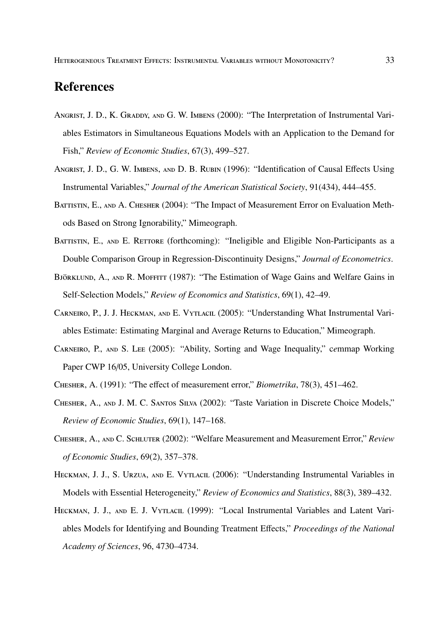# **References**

- ANGRIST, J. D., K. GRADDY, AND G. W. IMBENS (2000): "The Interpretation of Instrumental Variables Estimators in Simultaneous Equations Models with an Application to the Demand for Fish," *Review of Economic Studies*, 67(3), 499–527.
- ANGRIST, J. D., G. W. IMBENS, AND D. B. RUBIN (1996): "Identification of Causal Effects Using Instrumental Variables," *Journal of the American Statistical Society*, 91(434), 444–455.
- BATTISTIN, E., AND A. CHESHER (2004): "The Impact of Measurement Error on Evaluation Methods Based on Strong Ignorability," Mimeograph.
- BATTISTIN, E., AND E. RETTORE (forthcoming): "Ineligible and Eligible Non-Participants as a Double Comparison Group in Regression-Discontinuity Designs," *Journal of Econometrics*.
- BJÖRKLUND, A., AND R. MOFFITT (1987): "The Estimation of Wage Gains and Welfare Gains in Self-Selection Models," *Review of Economics and Statistics*, 69(1), 42–49.
- CARNEIRO, P., J. J. HECKMAN, AND E. VYTLACIL (2005): "Understanding What Instrumental Variables Estimate: Estimating Marginal and Average Returns to Education," Mimeograph.
- CARNEIRO, P., AND S. LEE (2005): "Ability, Sorting and Wage Inequality," cemmap Working Paper CWP 16/05, University College London.
- C, A. (1991): "The effect of measurement error," *Biometrika*, 78(3), 451–462.
- CHESHER, A., AND J. M. C. SANTOS SILVA (2002): "Taste Variation in Discrete Choice Models," *Review of Economic Studies*, 69(1), 147–168.
- CHESHER, A., AND C. SCHLUTER (2002): "Welfare Measurement and Measurement Error," Review *of Economic Studies*, 69(2), 357–378.
- HECKMAN, J. J., S. URZUA, AND E. VYTLACIL (2006): "Understanding Instrumental Variables in Models with Essential Heterogeneity," *Review of Economics and Statistics*, 88(3), 389–432.
- HECKMAN, J. J., AND E. J. VYTLACIL (1999): "Local Instrumental Variables and Latent Variables Models for Identifying and Bounding Treatment Effects," *Proceedings of the National Academy of Sciences*, 96, 4730–4734.